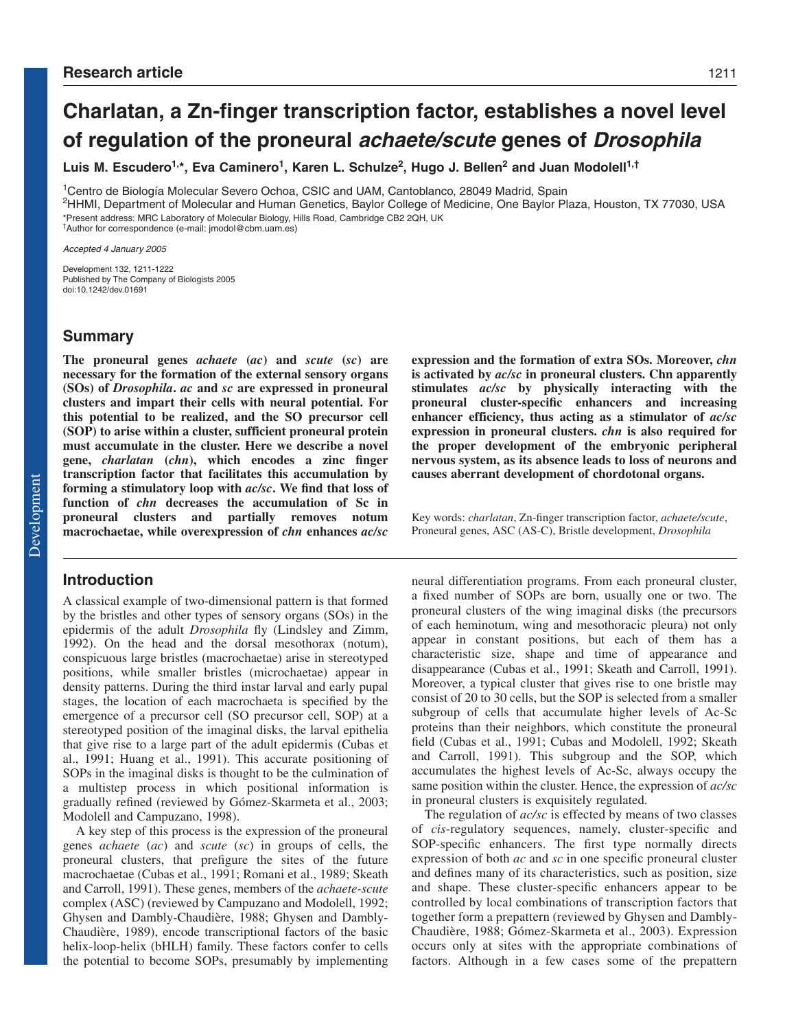# **Charlatan, a Zn-finger transcription factor, establishes a novel level of regulation of the proneural achaete/scute genes of Drosophila**

Luis M. Escudero<sup>1,\*</sup>, Eva Caminero<sup>1</sup>, Karen L. Schulze<sup>2</sup>, Hugo J. Bellen<sup>2</sup> and Juan Modolell<sup>1,†</sup>

1Centro de Biología Molecular Severo Ochoa, CSIC and UAM, Cantoblanco, 28049 Madrid, Spain

<sup>2</sup>HHMI, Department of Molecular and Human Genetics, Baylor College of Medicine, One Baylor Plaza, Houston, TX 77030, USA \*Present address: MRC Laboratory of Molecular Biology, Hills Road, Cambridge CB2 2QH, UK

†Author for correspondence (e-mail: jmodol@cbm.uam.es)

Accepted 4 January 2005

Development 132, 1211-1222 Published by The Company of Biologists 2005 doi:10.1242/dev.01691

# **Summary**

**The proneural genes** *achaete* **(***ac***) and** *scute* **(***sc***) are necessary for the formation of the external sensory organs (SOs) of** *Drosophila***.** *ac* **and** *sc* **are expressed in proneural clusters and impart their cells with neural potential. For this potential to be realized, and the SO precursor cell (SOP) to arise within a cluster, sufficient proneural protein must accumulate in the cluster. Here we describe a novel gene,** *charlatan* **(***chn***), which encodes a zinc finger transcription factor that facilitates this accumulation by forming a stimulatory loop with** *ac/sc***. We find that loss of function of** *chn* **decreases the accumulation of Sc in proneural clusters and partially removes notum macrochaetae, while overexpression of** *chn* **enhances** *ac/sc*

# **Introduction**

A classical example of two-dimensional pattern is that formed by the bristles and other types of sensory organs (SOs) in the epidermis of the adult *Drosophila* fly (Lindsley and Zimm, 1992). On the head and the dorsal mesothorax (notum), conspicuous large bristles (macrochaetae) arise in stereotyped positions, while smaller bristles (microchaetae) appear in density patterns. During the third instar larval and early pupal stages, the location of each macrochaeta is specified by the emergence of a precursor cell (SO precursor cell, SOP) at a stereotyped position of the imaginal disks, the larval epithelia that give rise to a large part of the adult epidermis (Cubas et al., 1991; Huang et al., 1991). This accurate positioning of SOPs in the imaginal disks is thought to be the culmination of a multistep process in which positional information is gradually refined (reviewed by Gómez-Skarmeta et al., 2003; Modolell and Campuzano, 1998).

A key step of this process is the expression of the proneural genes *achaete* (*ac*) and *scute* (*sc*) in groups of cells, the proneural clusters, that prefigure the sites of the future macrochaetae (Cubas et al., 1991; Romani et al., 1989; Skeath and Carroll, 1991). These genes, members of the *achaete-scute* complex (ASC) (reviewed by Campuzano and Modolell, 1992; Ghysen and Dambly-Chaudière, 1988; Ghysen and Dambly-Chaudière, 1989), encode transcriptional factors of the basic helix-loop-helix (bHLH) family. These factors confer to cells the potential to become SOPs, presumably by implementing **expression and the formation of extra SOs. Moreover,** *chn* **is activated by** *ac/sc* **in proneural clusters. Chn apparently stimulates** *ac/sc* **by physically interacting with the proneural cluster-specific enhancers and increasing enhancer efficiency, thus acting as a stimulator of** *ac/sc* **expression in proneural clusters.** *chn* **is also required for the proper development of the embryonic peripheral nervous system, as its absence leads to loss of neurons and causes aberrant development of chordotonal organs.**

Key words: *charlatan*, Zn-finger transcription factor, *achaete/scute*, Proneural genes, ASC (AS-C), Bristle development, *Drosophila*

neural differentiation programs. From each proneural cluster, a fixed number of SOPs are born, usually one or two. The proneural clusters of the wing imaginal disks (the precursors of each heminotum, wing and mesothoracic pleura) not only appear in constant positions, but each of them has a characteristic size, shape and time of appearance and disappearance (Cubas et al., 1991; Skeath and Carroll, 1991). Moreover, a typical cluster that gives rise to one bristle may consist of 20 to 30 cells, but the SOP is selected from a smaller subgroup of cells that accumulate higher levels of Ac-Sc proteins than their neighbors, which constitute the proneural field (Cubas et al., 1991; Cubas and Modolell, 1992; Skeath and Carroll, 1991). This subgroup and the SOP, which accumulates the highest levels of Ac-Sc, always occupy the same position within the cluster. Hence, the expression of *ac/sc* in proneural clusters is exquisitely regulated.

The regulation of *ac/sc* is effected by means of two classes of *cis*-regulatory sequences, namely, cluster-specific and SOP-specific enhancers. The first type normally directs expression of both *ac* and *sc* in one specific proneural cluster and defines many of its characteristics, such as position, size and shape. These cluster-specific enhancers appear to be controlled by local combinations of transcription factors that together form a prepattern (reviewed by Ghysen and Dambly-Chaudière, 1988; Gómez-Skarmeta et al., 2003). Expression occurs only at sites with the appropriate combinations of factors. Although in a few cases some of the prepattern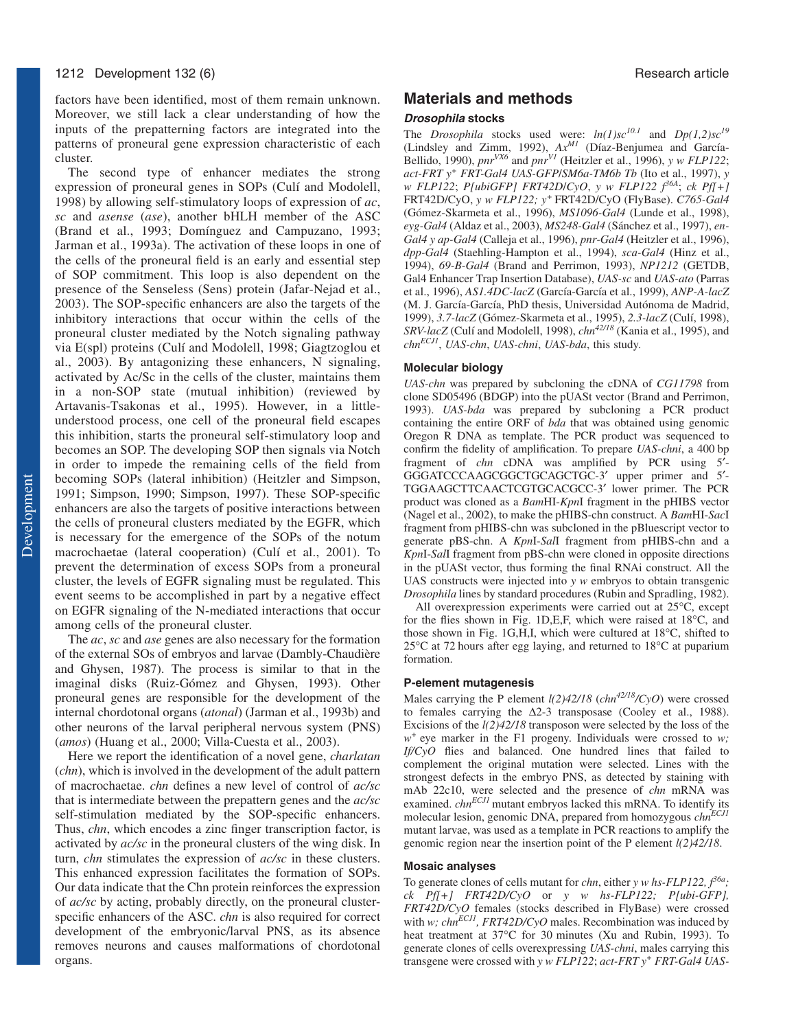factors have been identified, most of them remain unknown. Moreover, we still lack a clear understanding of how the inputs of the prepatterning factors are integrated into the patterns of proneural gene expression characteristic of each cluster.

The second type of enhancer mediates the strong expression of proneural genes in SOPs (Culí and Modolell, 1998) by allowing self-stimulatory loops of expression of *ac*, *sc* and *asense* (*ase*), another bHLH member of the ASC (Brand et al., 1993; Domínguez and Campuzano, 1993; Jarman et al., 1993a). The activation of these loops in one of the cells of the proneural field is an early and essential step of SOP commitment. This loop is also dependent on the presence of the Senseless (Sens) protein (Jafar-Nejad et al., 2003). The SOP-specific enhancers are also the targets of the inhibitory interactions that occur within the cells of the proneural cluster mediated by the Notch signaling pathway via E(spl) proteins (Culí and Modolell, 1998; Giagtzoglou et al., 2003). By antagonizing these enhancers, N signaling, activated by Ac/Sc in the cells of the cluster, maintains them in a non-SOP state (mutual inhibition) (reviewed by Artavanis-Tsakonas et al., 1995). However, in a littleunderstood process, one cell of the proneural field escapes this inhibition, starts the proneural self-stimulatory loop and becomes an SOP. The developing SOP then signals via Notch in order to impede the remaining cells of the field from becoming SOPs (lateral inhibition) (Heitzler and Simpson, 1991; Simpson, 1990; Simpson, 1997). These SOP-specific enhancers are also the targets of positive interactions between the cells of proneural clusters mediated by the EGFR, which is necessary for the emergence of the SOPs of the notum macrochaetae (lateral cooperation) (Culí et al., 2001). To prevent the determination of excess SOPs from a proneural cluster, the levels of EGFR signaling must be regulated. This event seems to be accomplished in part by a negative effect on EGFR signaling of the N-mediated interactions that occur among cells of the proneural cluster.

The *ac*, *sc* and *ase* genes are also necessary for the formation of the external SOs of embryos and larvae (Dambly-Chaudière and Ghysen, 1987). The process is similar to that in the imaginal disks (Ruiz-Gómez and Ghysen, 1993). Other proneural genes are responsible for the development of the internal chordotonal organs (*atonal*) (Jarman et al., 1993b) and other neurons of the larval peripheral nervous system (PNS) (*amos*) (Huang et al., 2000; Villa-Cuesta et al., 2003).

Here we report the identification of a novel gene, *charlatan* (*chn*), which is involved in the development of the adult pattern of macrochaetae. *chn* defines a new level of control of *ac/sc* that is intermediate between the prepattern genes and the *ac/sc* self-stimulation mediated by the SOP-specific enhancers. Thus, *chn*, which encodes a zinc finger transcription factor, is activated by *ac/sc* in the proneural clusters of the wing disk. In turn, *chn* stimulates the expression of *ac/sc* in these clusters. This enhanced expression facilitates the formation of SOPs. Our data indicate that the Chn protein reinforces the expression of *ac/sc* by acting, probably directly, on the proneural clusterspecific enhancers of the ASC. *chn* is also required for correct development of the embryonic/larval PNS, as its absence removes neurons and causes malformations of chordotonal organs.

# **Materials and methods**

#### **Drosophila stocks**

The *Drosophila* stocks used were:  $ln(1)sc^{10.1}$  and  $Dp(1,2)sc^{19}$ (Lindsley and Zimm, 1992), *AxM1* (Díaz-Benjumea and García-Bellido, 1990),  $pnr^{VX6}$  and  $pnr^{VI}$  (Heitzler et al., 1996), *y w FLP122*; *act-FRT y<sup>+</sup> FRT-Gal4 UAS-GFP*/*SM6a-TM6b Tb* (Ito et al., 1997), *y w FLP122*; *P[ubiGFP] FRT42D*/*CyO*, *y w FLP122 f36A*; *ck Pf[+]* FRT42D/CyO, *y w FLP122; y<sup>+</sup>*FRT42D/CyO (FlyBase). *C765-Gal4* (Gómez-Skarmeta et al., 1996), *MS1096-Gal4* (Lunde et al., 1998), *eyg-Gal4* (Aldaz et al., 2003), *MS248-Gal4* (Sánchez et al., 1997), *en-Gal4 y ap-Gal4* (Calleja et al., 1996), *pnr-Gal4* (Heitzler et al., 1996), *dpp-Gal4* (Staehling-Hampton et al., 1994), *sca-Gal4* (Hinz et al., 1994), *69-B-Gal4* (Brand and Perrimon, 1993), *NP1212* (GETDB, Gal4 Enhancer Trap Insertion Database), *UAS-sc* and *UAS-ato* (Parras et al., 1996), *AS1.4DC-lacZ* (García-García et al., 1999), *ANP-A-lacZ* (M. J. García-García, PhD thesis, Universidad Autónoma de Madrid, 1999), *3.7-lacZ* (Gómez-Skarmeta et al., 1995), *2.3-lacZ* (Culí, 1998), *SRV-lacZ* (Culí and Modolell, 1998), *chn42/18* (Kania et al., 1995), and *chnECJ1*, *UAS-chn*, *UAS-chni*, *UAS-bda*, this study.

#### **Molecular biology**

*UAS-chn* was prepared by subcloning the cDNA of *CG11798* from clone SD05496 (BDGP) into the pUASt vector (Brand and Perrimon, 1993). *UAS-bda* was prepared by subcloning a PCR product containing the entire ORF of *bda* that was obtained using genomic Oregon R DNA as template. The PCR product was sequenced to confirm the fidelity of amplification. To prepare *UAS-chni*, a 400 bp fragment of *chn* cDNA was amplified by PCR using 5′- GGGATCCCAAGCGGCTGCAGCTGC-3′ upper primer and 5′- TGGAAGCTTCAACTCGTGCACGCC-3′ lower primer. The PCR product was cloned as a *Bam*HI-*Kpn*I fragment in the pHIBS vector (Nagel et al., 2002), to make the pHIBS-chn construct. A *Bam*HI-*Sac*I fragment from pHIBS-chn was subcloned in the pBluescript vector to generate pBS-chn. A *Kpn*I-*Sal*I fragment from pHIBS-chn and a *Kpn*I-*Sal*I fragment from pBS-chn were cloned in opposite directions in the pUASt vector, thus forming the final RNAi construct. All the UAS constructs were injected into *y w* embryos to obtain transgenic *Drosophila* lines by standard procedures (Rubin and Spradling, 1982).

All overexpression experiments were carried out at 25°C, except for the flies shown in Fig. 1D,E,F, which were raised at 18°C, and those shown in Fig. 1G,H,I, which were cultured at 18°C, shifted to 25°C at 72 hours after egg laying, and returned to 18°C at puparium formation.

#### **P-element mutagenesis**

Males carrying the P element  $l(2)42/18$  ( $\text{ch}n^{42/18}/\text{CyO}$ ) were crossed to females carrying the ∆2-3 transposase (Cooley et al., 1988). Excisions of the *l(2)42/18* transposon were selected by the loss of the *w*+ eye marker in the F1 progeny. Individuals were crossed to *w; If/CyO* flies and balanced. One hundred lines that failed to complement the original mutation were selected. Lines with the strongest defects in the embryo PNS, as detected by staining with mAb 22c10, were selected and the presence of *chn* mRNA was examined. *chn<sup>ECJ1</sup>* mutant embryos lacked this mRNA. To identify its molecular lesion, genomic DNA, prepared from homozygous *chn<sup>ECJ1</sup>* mutant larvae, was used as a template in PCR reactions to amplify the genomic region near the insertion point of the P element *l(2)42/18*.

#### **Mosaic analyses**

To generate clones of cells mutant for *chn*, either *y w hs-FLP122*,  $f^{80a}$ ; *ck Pf[+] FRT42D/CyO* or *y w hs-FLP122; P[ubi-GFP], FRT42D/CyO* females (stocks described in FlyBase) were crossed with *w; chn<sup>ECJ1</sup>, FRT42D/CyO* males. Recombination was induced by heat treatment at 37°C for 30 minutes (Xu and Rubin, 1993). To generate clones of cells overexpressing *UAS-chni*, males carrying this transgene were crossed with *y w FLP122*; *act-FRT y<sup>+</sup> FRT-Gal4 UAS-*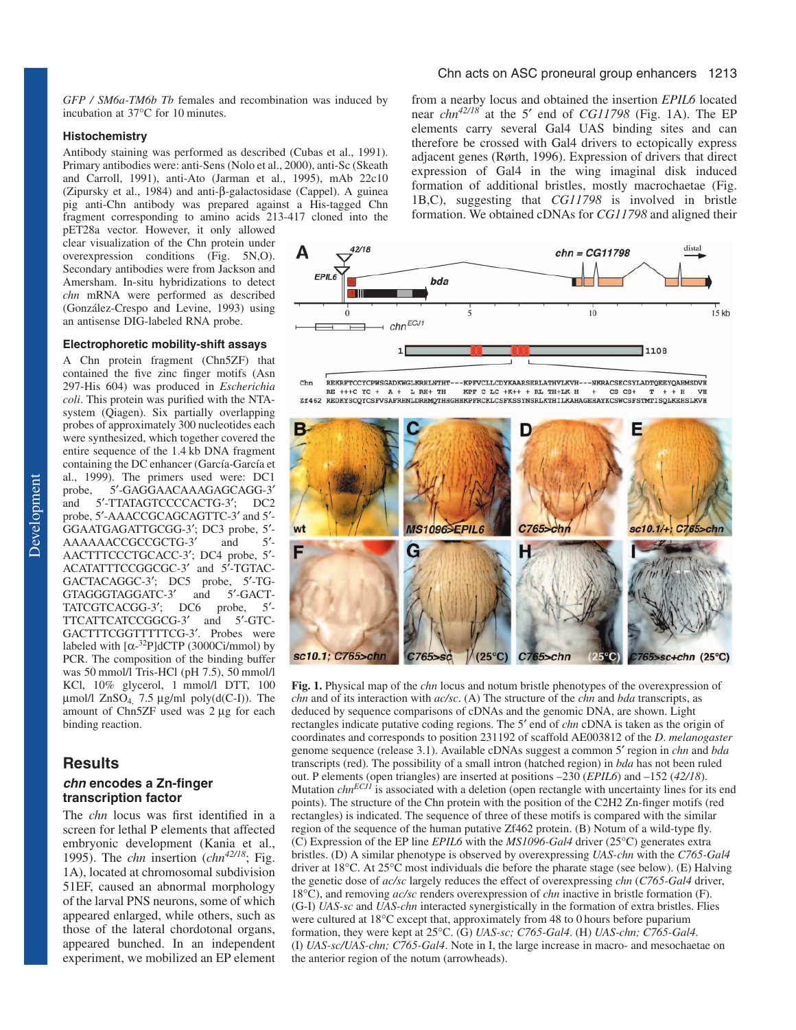#### **Histochemistry**

Antibody staining was performed as described (Cubas et al., 1991). Primary antibodies were: anti-Sens (Nolo et al., 2000), anti-Sc (Skeath and Carroll, 1991), anti-Ato (Jarman et al., 1995), mAb 22c10 (Zipursky et al., 1984) and anti-β-galactosidase (Cappel). A guinea pig anti-Chn antibody was prepared against a His-tagged Chn fragment corresponding to amino acids 213-417 cloned into the

pET28a vector. However, it only allowed clear visualization of the Chn protein under overexpression conditions (Fig. 5N,O). Secondary antibodies were from Jackson and Amersham. In-situ hybridizations to detect *chn* mRNA were performed as described (González-Crespo and Levine, 1993) using an antisense DIG-labeled RNA probe.

#### **Electrophoretic mobility-shift assays**

A Chn protein fragment (Chn5ZF) that contained the five zinc finger motifs (Asn 297-His 604) was produced in *Escherichia coli*. This protein was purified with the NTAsystem (Qiagen). Six partially overlapping probes of approximately 300 nucleotides each were synthesized, which together covered the entire sequence of the 1.4 kb DNA fragment containing the DC enhancer (García-García et al., 1999). The primers used were: DC1 probe, 5′-GAGGAACAAAGAGCAGG-3′ and 5′-TTATAGTCCCCACTG-3′; DC2 probe, 5′-AAACCGCAGCAGTTC-3′ and 5′- GGAATGAGATTGCGG-3′; DC3 probe, 5′- AAAAAACCGCCGCTG-3' and 5'-AACTTTCCCTGCACC-3′; DC4 probe, 5′- ACATATTTCCGGCGC-3′ and 5′-TGTAC-GACTACAGGC-3'; DC5 probe, 5'-TG-<br>GTAGGGTAGGATC-3' and 5'-GACT-GTAGGGTAGGATC-3' and TATCGTCACGG-3′; DC6 probe, 5′- TTCATTCATCCGGCG-3′ and 5′-GTC-GACTTTCGGTTTTTCG-3′. Probes were labeled with  $\left[\alpha^{-32}P\right]$ dCTP (3000Ci/mmol) by PCR. The composition of the binding buffer was 50 mmol/l Tris-HCl (pH 7.5), 50 mmol/l KCl, 10% glycerol, 1 mmol/l DTT, 100  $\mu$ mol/l ZnSO<sub>4,</sub> 7.5  $\mu$ g/ml poly(d(C-I)). The amount of Chn5ZF used was 2 µg for each binding reaction.

# **Results**

### **chn encodes a Zn-finger transcription factor**

The *chn* locus was first identified in a screen for lethal P elements that affected embryonic development (Kania et al., 1995). The *chn* insertion (*chn42/18*; Fig. 1A), located at chromosomal subdivision 51EF, caused an abnormal morphology of the larval PNS neurons, some of which appeared enlarged, while others, such as those of the lateral chordotonal organs, appeared bunched. In an independent experiment, we mobilized an EP element

#### Chn acts on ASC proneural group enhancers 1213

from a nearby locus and obtained the insertion *EPIL6* located near *chn42/18* at the 5′ end of *CG11798* (Fig. 1A). The EP elements carry several Gal4 UAS binding sites and can therefore be crossed with Gal4 drivers to ectopically express adjacent genes (Rørth, 1996). Expression of drivers that direct expression of Gal4 in the wing imaginal disk induced formation of additional bristles, mostly macrochaetae (Fig. 1B,C), suggesting that *CG11798* is involved in bristle formation. We obtained cDNAs for *CG11798* and aligned their



Chn REKRFTCCYCPWSGADKWGLKRHLNTHT---KPFVCLLCDYKAARSERLATHVLKVH---NKRACSKCSYLADTQEEYQAHMSDVH RE +++C YC +  $A +$  $L RH+TH$  $\begin{minipage}{.4\linewidth} \begin{tabular}{ll} \bf{KPF} & \tt{C} & \tt{LC} & +K++ & + & RL & TH+LK & H \\ \end{tabular} \end{minipage}$  $CS$   $CS+$ Zf462 REDKYSCQYCSFVSAFRHNLDRHMQTHHGHHKPFRCKLCSFKSSYNSRLKTHILKAHAGEHAYKCSWCSFSTMTISQLKEHSLKVH



**Fig. 1.** Physical map of the *chn* locus and notum bristle phenotypes of the overexpression of *chn* and of its interaction with *ac/sc*. (A) The structure of the *chn* and *bda* transcripts, as deduced by sequence comparisons of cDNAs and the genomic DNA, are shown. Light rectangles indicate putative coding regions. The 5′ end of *chn* cDNA is taken as the origin of coordinates and corresponds to position 231192 of scaffold AE003812 of the *D*. *melanogaster* genome sequence (release 3.1). Available cDNAs suggest a common 5′ region in *chn* and *bda* transcripts (red). The possibility of a small intron (hatched region) in *bda* has not been ruled out. P elements (open triangles) are inserted at positions –230 (*EPIL6*) and –152 (*42/18*). Mutation *chn*<sup>ECJ1</sup> is associated with a deletion (open rectangle with uncertainty lines for its end points). The structure of the Chn protein with the position of the C2H2 Zn-finger motifs (red rectangles) is indicated. The sequence of three of these motifs is compared with the similar region of the sequence of the human putative Zf462 protein. (B) Notum of a wild-type fly. (C) Expression of the EP line *EPIL6* with the *MS1096-Gal4* driver (25°C) generates extra bristles. (D) A similar phenotype is observed by overexpressing *UAS-chn* with the *C765-Gal4* driver at 18°C. At 25°C most individuals die before the pharate stage (see below). (E) Halving the genetic dose of *ac/sc* largely reduces the effect of overexpressing *chn* (*C765-Gal4* driver, 18°C), and removing *ac/sc* renders overexpression of *chn* inactive in bristle formation (F). (G-I) *UAS-sc* and *UAS-chn* interacted synergistically in the formation of extra bristles. Flies were cultured at 18°C except that, approximately from 48 to 0 hours before puparium formation, they were kept at 25°C. (G) *UAS-sc; C765-Gal4*. (H) *UAS-chn; C765-Gal4*. (I) *UAS-sc/UAS-chn; C765-Gal4*. Note in I, the large increase in macro- and mesochaetae on the anterior region of the notum (arrowheads).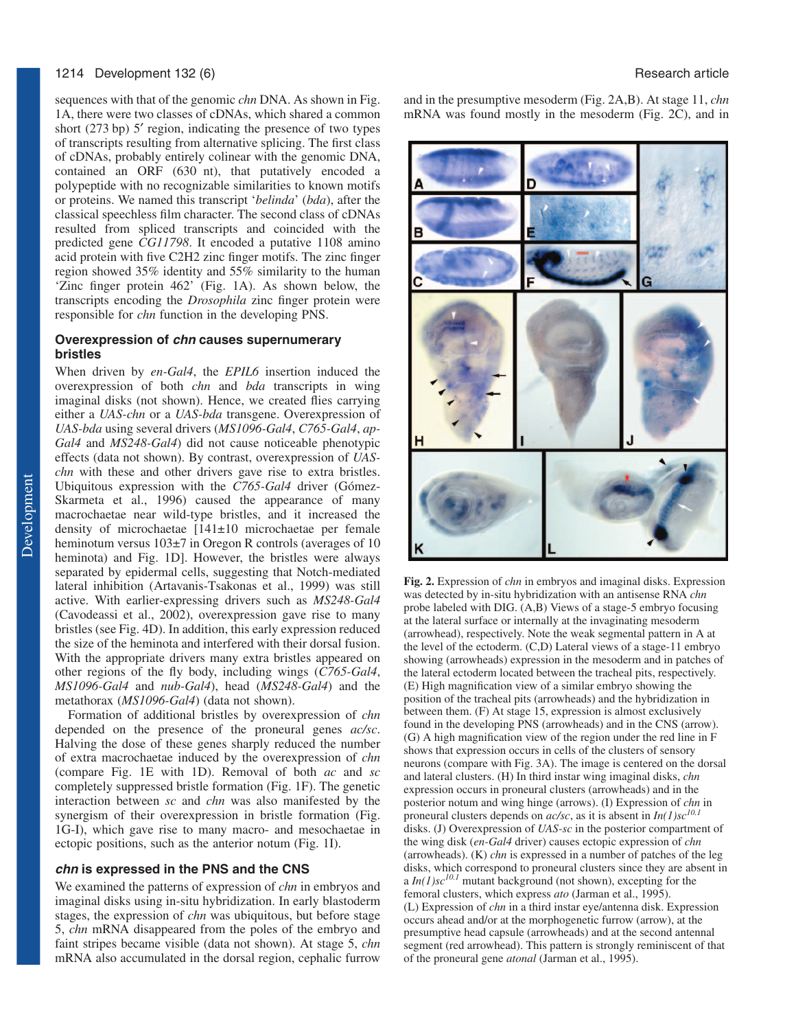#### 1214 Development 132 (6) **Research article Research article Research article Research article**

sequences with that of the genomic *chn* DNA. As shown in Fig. 1A, there were two classes of cDNAs, which shared a common short (273 bp) 5' region, indicating the presence of two types of transcripts resulting from alternative splicing. The first class of cDNAs, probably entirely colinear with the genomic DNA, contained an ORF (630 nt), that putatively encoded a polypeptide with no recognizable similarities to known motifs or proteins. We named this transcript '*belinda*' (*bda*), after the classical speechless film character. The second class of cDNAs resulted from spliced transcripts and coincided with the predicted gene *CG11798*. It encoded a putative 1108 amino acid protein with five C2H2 zinc finger motifs. The zinc finger region showed 35% identity and 55% similarity to the human 'Zinc finger protein 462' (Fig. 1A). As shown below, the transcripts encoding the *Drosophila* zinc finger protein were responsible for *chn* function in the developing PNS.

### **Overexpression of chn causes supernumerary bristles**

When driven by *en-Gal4*, the *EPIL6* insertion induced the overexpression of both *chn* and *bda* transcripts in wing imaginal disks (not shown). Hence, we created flies carrying either a *UAS-chn* or a *UAS-bda* transgene. Overexpression of *UAS-bda* using several drivers (*MS1096-Gal4*, *C765-Gal4*, *ap-Gal4* and *MS248-Gal4*) did not cause noticeable phenotypic effects (data not shown). By contrast, overexpression of *UASchn* with these and other drivers gave rise to extra bristles. Ubiquitous expression with the *C765-Gal4* driver (Gómez-Skarmeta et al., 1996) caused the appearance of many macrochaetae near wild-type bristles, and it increased the density of microchaetae [141±10 microchaetae per female heminotum versus 103±7 in Oregon R controls (averages of 10 heminota) and Fig. 1D]. However, the bristles were always separated by epidermal cells, suggesting that Notch-mediated lateral inhibition (Artavanis-Tsakonas et al., 1999) was still active. With earlier-expressing drivers such as *MS248-Gal4* (Cavodeassi et al., 2002), overexpression gave rise to many bristles (see Fig. 4D). In addition, this early expression reduced the size of the heminota and interfered with their dorsal fusion. With the appropriate drivers many extra bristles appeared on other regions of the fly body, including wings (*C765-Gal4*, *MS1096-Gal4* and *nub-Gal4*), head (*MS248-Gal4*) and the metathorax (*MS1096-Gal4*) (data not shown).

Formation of additional bristles by overexpression of *chn* depended on the presence of the proneural genes *ac/sc*. Halving the dose of these genes sharply reduced the number of extra macrochaetae induced by the overexpression of *chn* (compare Fig. 1E with 1D). Removal of both *ac* and *sc* completely suppressed bristle formation (Fig. 1F). The genetic interaction between *sc* and *chn* was also manifested by the synergism of their overexpression in bristle formation (Fig. 1G-I), which gave rise to many macro- and mesochaetae in ectopic positions, such as the anterior notum (Fig. 1I).

#### **chn is expressed in the PNS and the CNS**

We examined the patterns of expression of *chn* in embryos and imaginal disks using in-situ hybridization. In early blastoderm stages, the expression of *chn* was ubiquitous, but before stage 5, *chn* mRNA disappeared from the poles of the embryo and faint stripes became visible (data not shown). At stage 5, *chn* mRNA also accumulated in the dorsal region, cephalic furrow

and in the presumptive mesoderm (Fig. 2A,B). At stage 11, *chn* mRNA was found mostly in the mesoderm (Fig. 2C), and in



**Fig. 2.** Expression of *chn* in embryos and imaginal disks. Expression was detected by in-situ hybridization with an antisense RNA *chn* probe labeled with DIG. (A,B) Views of a stage-5 embryo focusing at the lateral surface or internally at the invaginating mesoderm (arrowhead), respectively. Note the weak segmental pattern in A at the level of the ectoderm. (C,D) Lateral views of a stage-11 embryo showing (arrowheads) expression in the mesoderm and in patches of the lateral ectoderm located between the tracheal pits, respectively. (E) High magnification view of a similar embryo showing the position of the tracheal pits (arrowheads) and the hybridization in between them. (F) At stage 15, expression is almost exclusively found in the developing PNS (arrowheads) and in the CNS (arrow). (G) A high magnification view of the region under the red line in F shows that expression occurs in cells of the clusters of sensory neurons (compare with Fig. 3A). The image is centered on the dorsal and lateral clusters. (H) In third instar wing imaginal disks, *chn* expression occurs in proneural clusters (arrowheads) and in the posterior notum and wing hinge (arrows). (I) Expression of *chn* in proneural clusters depends on *ac/sc*, as it is absent in *In(1)sc10.1* disks. (J) Overexpression of *UAS-sc* in the posterior compartment of the wing disk (*en-Gal4* driver) causes ectopic expression of *chn* (arrowheads). (K) *chn* is expressed in a number of patches of the leg disks, which correspond to proneural clusters since they are absent in a *In(1)sc10.1* mutant background (not shown), excepting for the femoral clusters, which express *ato* (Jarman et al., 1995). (L) Expression of *chn* in a third instar eye/antenna disk. Expression occurs ahead and/or at the morphogenetic furrow (arrow), at the presumptive head capsule (arrowheads) and at the second antennal segment (red arrowhead). This pattern is strongly reminiscent of that of the proneural gene *atonal* (Jarman et al., 1995).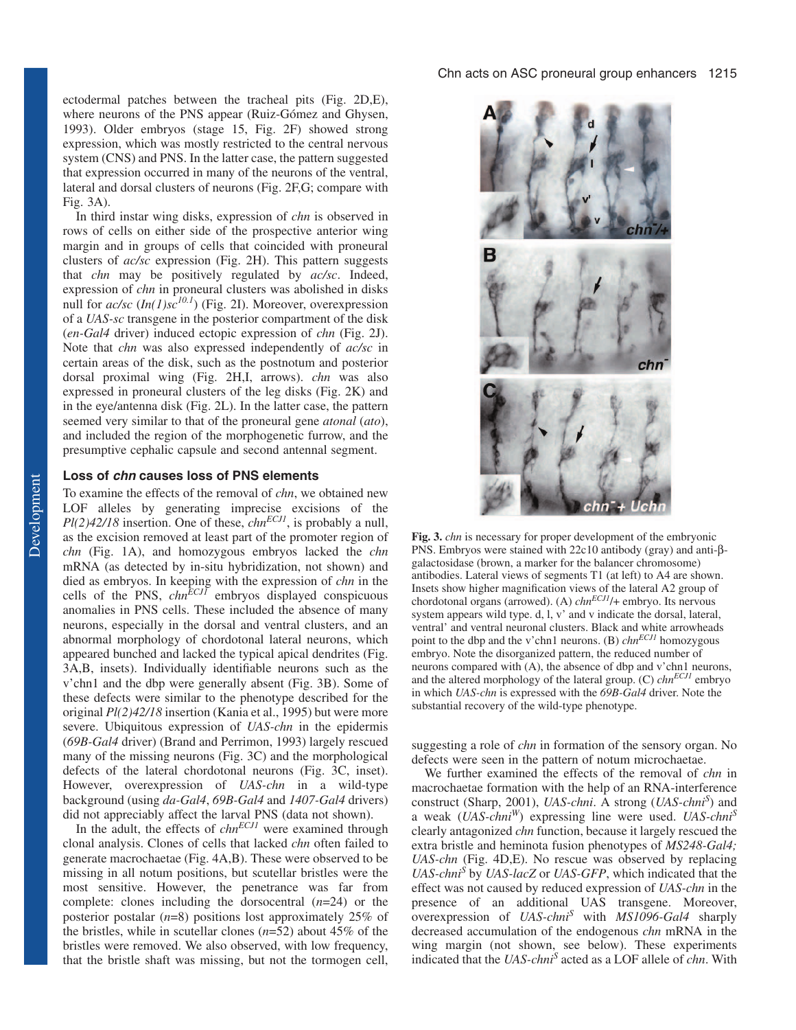ectodermal patches between the tracheal pits (Fig. 2D,E), where neurons of the PNS appear (Ruiz-Gómez and Ghysen, 1993). Older embryos (stage 15, Fig. 2F) showed strong expression, which was mostly restricted to the central nervous system (CNS) and PNS. In the latter case, the pattern suggested that expression occurred in many of the neurons of the ventral, lateral and dorsal clusters of neurons (Fig. 2F,G; compare with Fig. 3A).

In third instar wing disks, expression of *chn* is observed in rows of cells on either side of the prospective anterior wing margin and in groups of cells that coincided with proneural clusters of *ac/sc* expression (Fig. 2H). This pattern suggests that *chn* may be positively regulated by *ac/sc*. Indeed, expression of *chn* in proneural clusters was abolished in disks null for  $ac/sec$  ( $In(1)sc^{10.1}$ ) (Fig. 2I). Moreover, overexpression of a *UAS-sc* transgene in the posterior compartment of the disk (*en-Gal4* driver) induced ectopic expression of *chn* (Fig. 2J). Note that *chn* was also expressed independently of *ac/sc* in certain areas of the disk, such as the postnotum and posterior dorsal proximal wing (Fig. 2H,I, arrows). *chn* was also expressed in proneural clusters of the leg disks (Fig. 2K) and in the eye/antenna disk (Fig. 2L). In the latter case, the pattern seemed very similar to that of the proneural gene *atonal* (*ato*), and included the region of the morphogenetic furrow, and the presumptive cephalic capsule and second antennal segment.

#### **Loss of chn causes loss of PNS elements**

To examine the effects of the removal of *chn*, we obtained new LOF alleles by generating imprecise excisions of the *Pl(2)42/18* insertion. One of these, *chnECJ1*, is probably a null, as the excision removed at least part of the promoter region of *chn* (Fig. 1A), and homozygous embryos lacked the *chn* mRNA (as detected by in-situ hybridization, not shown) and died as embryos. In keeping with the expression of *chn* in the cells of the PNS, *chnECJ1* embryos displayed conspicuous anomalies in PNS cells. These included the absence of many neurons, especially in the dorsal and ventral clusters, and an abnormal morphology of chordotonal lateral neurons, which appeared bunched and lacked the typical apical dendrites (Fig. 3A,B, insets). Individually identifiable neurons such as the v'chn1 and the dbp were generally absent (Fig. 3B). Some of these defects were similar to the phenotype described for the original *Pl(2)42/18* insertion (Kania et al., 1995) but were more severe. Ubiquitous expression of *UAS-chn* in the epidermis (*69B-Gal4* driver) (Brand and Perrimon, 1993) largely rescued many of the missing neurons (Fig. 3C) and the morphological defects of the lateral chordotonal neurons (Fig. 3C, inset). However, overexpression of *UAS-chn* in a wild-type background (using *da-Gal4*, *69B-Gal4* and *1407-Gal4* drivers) did not appreciably affect the larval PNS (data not shown).

In the adult, the effects of *chnECJ1* were examined through clonal analysis. Clones of cells that lacked *chn* often failed to generate macrochaetae (Fig. 4A,B). These were observed to be missing in all notum positions, but scutellar bristles were the most sensitive. However, the penetrance was far from complete: clones including the dorsocentral (*n*=24) or the posterior postalar (*n*=8) positions lost approximately 25% of the bristles, while in scutellar clones (*n*=52) about 45% of the bristles were removed. We also observed, with low frequency, that the bristle shaft was missing, but not the tormogen cell,



**Fig. 3.** *chn* is necessary for proper development of the embryonic PNS. Embryos were stained with 22c10 antibody (gray) and anti-βgalactosidase (brown, a marker for the balancer chromosome) antibodies. Lateral views of segments T1 (at left) to A4 are shown. Insets show higher magnification views of the lateral A2 group of chordotonal organs (arrowed). (A) *chnECJ1*/+ embryo. Its nervous system appears wild type. d, l, v' and v indicate the dorsal, lateral, ventral' and ventral neuronal clusters. Black and white arrowheads point to the dbp and the v'chn1 neurons. (B)  $chn<sup>ECI</sup>$  homozygous embryo. Note the disorganized pattern, the reduced number of neurons compared with (A), the absence of dbp and v'chn1 neurons, and the altered morphology of the lateral group. (C)  $\text{chn}^{ECII}$  embryo in which *UAS-chn* is expressed with the *69B-Gal4* driver. Note the substantial recovery of the wild-type phenotype.

suggesting a role of *chn* in formation of the sensory organ. No defects were seen in the pattern of notum microchaetae.

We further examined the effects of the removal of *chn* in macrochaetae formation with the help of an RNA-interference construct (Sharp, 2001), *UAS-chni*. A strong (*UAS-chni<sup>S</sup>* ) and a weak (*UAS-chni<sup>W</sup>*) expressing line were used. *UAS-chni<sup>S</sup>* clearly antagonized *chn* function, because it largely rescued the extra bristle and heminota fusion phenotypes of *MS248-Gal4; UAS-chn* (Fig. 4D,E). No rescue was observed by replacing *UAS-chni<sup>S</sup>* by *UAS-lacZ* or *UAS-GFP*, which indicated that the effect was not caused by reduced expression of *UAS-chn* in the presence of an additional UAS transgene. Moreover, overexpression of *UAS-chni<sup>S</sup>* with *MS1096-Gal4* sharply decreased accumulation of the endogenous *chn* mRNA in the wing margin (not shown, see below). These experiments indicated that the *UAS-chni<sup>S</sup>* acted as a LOF allele of *chn*. With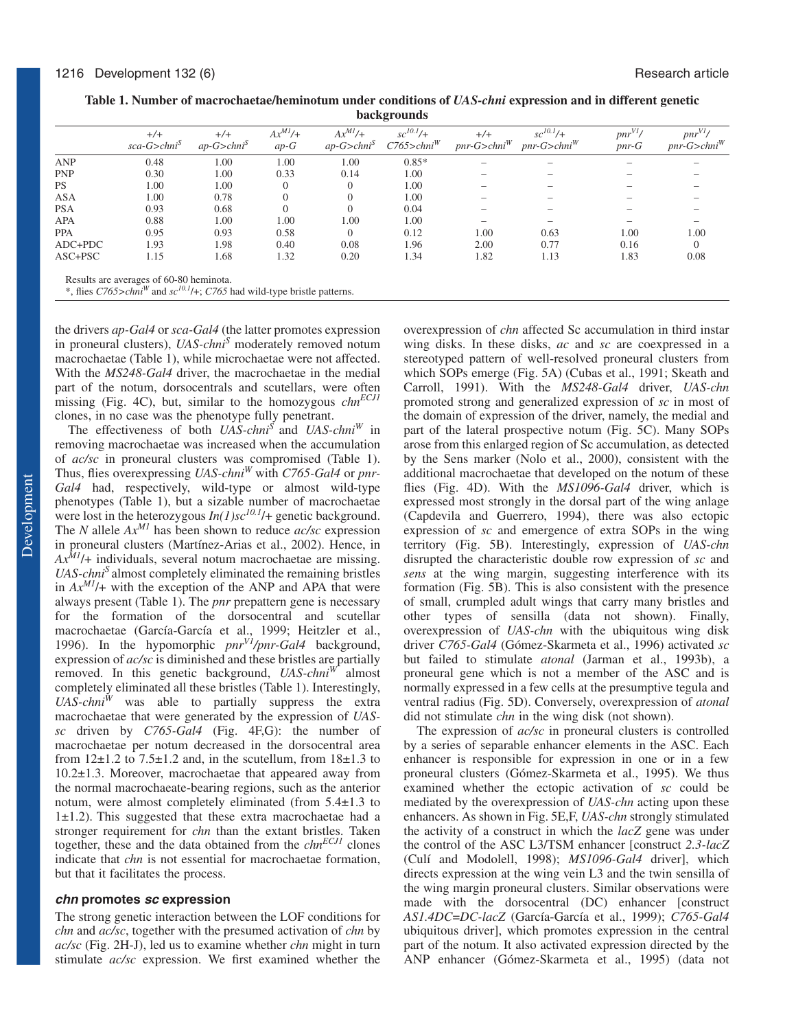|            | $+/-$                   | $+/-$        | $Ax^{M1}/+$ | $Ax^{MI}/+$  | $sc^{10.1}/+$    | $+/-$         | $sc^{10.1}/+$ | $pnr^{VI}/$ | $pnr^{VI}/$   |
|------------|-------------------------|--------------|-------------|--------------|------------------|---------------|---------------|-------------|---------------|
|            | sca-G>chni <sup>S</sup> | $ap-G>chniS$ | $ap-G$      | $ap-G>chniS$ | $C765$ >chni $W$ | $pnr-G>chniW$ | $pnr-G>chniW$ | $pnr-G$     | $pnr-G>chniW$ |
| <b>ANP</b> | 0.48                    | 1.00         | 1.00        | 1.00         | $0.85*$          |               |               |             |               |
| <b>PNP</b> | 0.30                    | 1.00         | 0.33        | 0.14         | 1.00             |               |               |             |               |
| <b>PS</b>  | 1.00                    | 1.00         | $\Omega$    | $\Omega$     | 1.00             |               |               |             |               |
| <b>ASA</b> | 1.00                    | 0.78         |             |              | 1.00             |               |               |             |               |
| <b>PSA</b> | 0.93                    | 0.68         |             |              | 0.04             |               |               |             |               |
| <b>APA</b> | 0.88                    | 1.00         | 1.00        | 1.00         | 1.00             |               |               |             |               |
| <b>PPA</b> | 0.95                    | 0.93         | 0.58        | $\Omega$     | 0.12             | 1.00          | 0.63          | 1.00        | 1.00          |
| ADC+PDC    | 1.93                    | 1.98         | 0.40        | 0.08         | 1.96             | 2.00          | 0.77          | 0.16        | 0             |
| ASC+PSC    | 1.15                    | 1.68         | 1.32        | 0.20         | 1.34             | 1.82          | 1.13          | 1.83        | 0.08          |

| Table 1. Number of macrochaetae/heminotum under conditions of UAS-chni expression and in different genetic |  |
|------------------------------------------------------------------------------------------------------------|--|
| <b>backgrounds</b>                                                                                         |  |

\*, flies *C765>chni<sup>W</sup>* and *sc10.1*/+; *C765* had wild-type bristle patterns.

the drivers *ap-Gal4* or *sca-Gal4* (the latter promotes expression in proneural clusters), *UAS-chni<sup>S</sup>* moderately removed notum macrochaetae (Table 1), while microchaetae were not affected. With the *MS248-Gal4* driver, the macrochaetae in the medial part of the notum, dorsocentrals and scutellars, were often missing (Fig. 4C), but, similar to the homozygous *chnECJ1* clones, in no case was the phenotype fully penetrant.

The effectiveness of both *UAS-chni<sup>S</sup>* and *UAS-chni<sup>W</sup>* in removing macrochaetae was increased when the accumulation of *ac/sc* in proneural clusters was compromised (Table 1). Thus, flies overexpressing *UAS-chni<sup>W</sup>* with *C765-Gal4* or *pnr-Gal4* had, respectively, wild-type or almost wild-type phenotypes (Table 1), but a sizable number of macrochaetae were lost in the heterozygous  $In(1)$ sc<sup>10.1</sup>/+ genetic background. The *N* allele *AxM1* has been shown to reduce *ac/sc* expression in proneural clusters (Martínez-Arias et al., 2002). Hence, in  $Ax^{M/2}$ + individuals, several notum macrochaetae are missing. *UAS-chni<sup>S</sup>*almost completely eliminated the remaining bristles in  $Ax^{M1}/$ + with the exception of the ANP and APA that were always present (Table 1). The *pnr* prepattern gene is necessary for the formation of the dorsocentral and scutellar macrochaetae (García-García et al., 1999; Heitzler et al., 1996). In the hypomorphic *pnrV1/pnr-Gal4* background, expression of *ac/sc* is diminished and these bristles are partially removed. In this genetic background, *UAS-chni<sup>W</sup>* almost completely eliminated all these bristles (Table 1). Interestingly, *UAS-chni<sup>W</sup>* was able to partially suppress the extra macrochaetae that were generated by the expression of *UASsc* driven by *C765-Gal4* (Fig. 4F,G): the number of macrochaetae per notum decreased in the dorsocentral area from  $12\pm1.2$  to  $7.5\pm1.2$  and, in the scutellum, from  $18\pm1.3$  to 10.2±1.3. Moreover, macrochaetae that appeared away from the normal macrochaeate-bearing regions, such as the anterior notum, were almost completely eliminated (from 5.4±1.3 to 1±1.2). This suggested that these extra macrochaetae had a stronger requirement for *chn* than the extant bristles. Taken together, these and the data obtained from the *chnECJ1* clones indicate that *chn* is not essential for macrochaetae formation, but that it facilitates the process.

#### *chn promotes sc expression*

The strong genetic interaction between the LOF conditions for *chn* and *ac/sc*, together with the presumed activation of *chn* by *ac/sc* (Fig. 2H-J), led us to examine whether *chn* might in turn stimulate *ac/sc* expression. We first examined whether the

overexpression of *chn* affected Sc accumulation in third instar wing disks. In these disks, *ac* and *sc* are coexpressed in a stereotyped pattern of well-resolved proneural clusters from which SOPs emerge (Fig. 5A) (Cubas et al., 1991; Skeath and Carroll, 1991). With the *MS248-Gal4* driver, *UAS-chn* promoted strong and generalized expression of *sc* in most of the domain of expression of the driver, namely, the medial and part of the lateral prospective notum (Fig. 5C). Many SOPs arose from this enlarged region of Sc accumulation, as detected by the Sens marker (Nolo et al., 2000), consistent with the additional macrochaetae that developed on the notum of these flies (Fig. 4D). With the *MS1096-Gal4* driver, which is expressed most strongly in the dorsal part of the wing anlage (Capdevila and Guerrero, 1994), there was also ectopic expression of *sc* and emergence of extra SOPs in the wing territory (Fig. 5B). Interestingly, expression of *UAS-chn* disrupted the characteristic double row expression of *sc* and *sens* at the wing margin, suggesting interference with its formation (Fig. 5B). This is also consistent with the presence of small, crumpled adult wings that carry many bristles and other types of sensilla (data not shown). Finally, overexpression of *UAS-chn* with the ubiquitous wing disk driver *C765-Gal4* (Gómez-Skarmeta et al., 1996) activated *sc* but failed to stimulate *atonal* (Jarman et al., 1993b), a proneural gene which is not a member of the ASC and is normally expressed in a few cells at the presumptive tegula and ventral radius (Fig. 5D). Conversely, overexpression of *atonal* did not stimulate *chn* in the wing disk (not shown).

The expression of *ac/sc* in proneural clusters is controlled by a series of separable enhancer elements in the ASC. Each enhancer is responsible for expression in one or in a few proneural clusters (Gómez-Skarmeta et al., 1995). We thus examined whether the ectopic activation of *sc* could be mediated by the overexpression of *UAS-chn* acting upon these enhancers. As shown in Fig. 5E,F, *UAS-chn* strongly stimulated the activity of a construct in which the *lacZ* gene was under the control of the ASC L3/TSM enhancer [construct *2.3-lacZ* (Culí and Modolell, 1998); *MS1096-Gal4* driver], which directs expression at the wing vein L3 and the twin sensilla of the wing margin proneural clusters. Similar observations were made with the dorsocentral (DC) enhancer [construct *AS1.4DC*=*DC-lacZ* (García-García et al., 1999); *C765-Gal4* ubiquitous driver], which promotes expression in the central part of the notum. It also activated expression directed by the ANP enhancer (Gómez-Skarmeta et al., 1995) (data not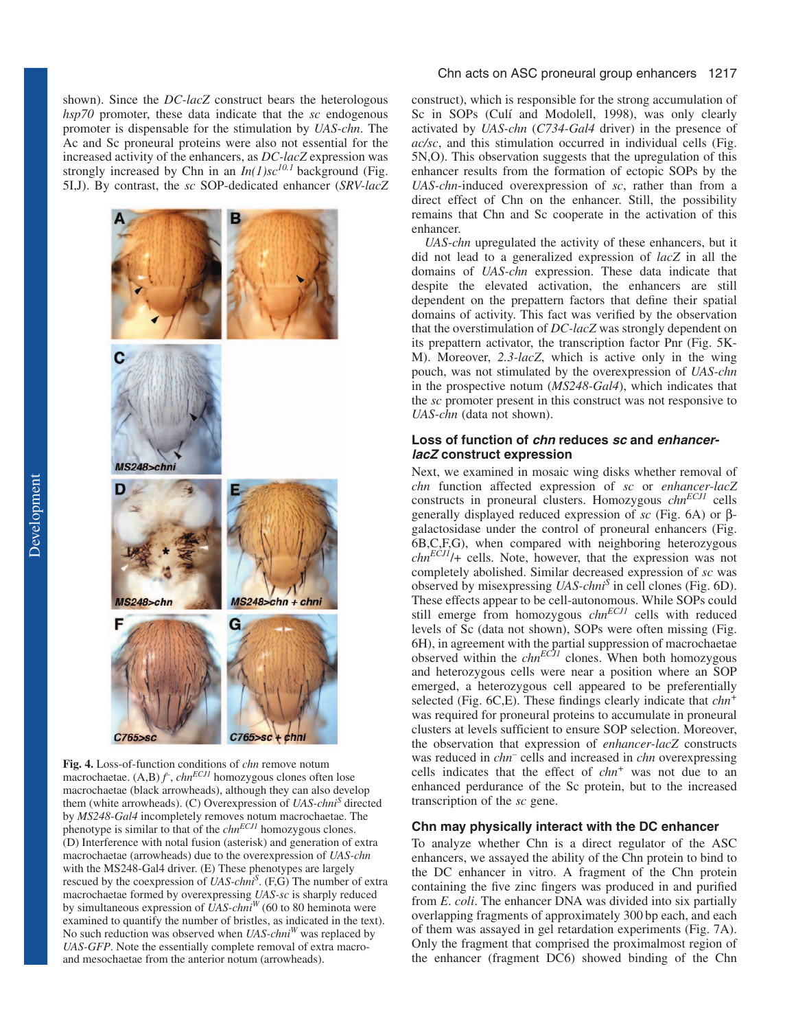shown). Since the *DC-lacZ* construct bears the heterologous *hsp70* promoter, these data indicate that the *sc* endogenous promoter is dispensable for the stimulation by *UAS-chn*. The Ac and Sc proneural proteins were also not essential for the increased activity of the enhancers, as *DC-lacZ* expression was strongly increased by Chn in an *In(1)sc<sup>10.1</sup>* background (Fig. 5I,J). By contrast, the *sc* SOP-dedicated enhancer (*SRV-lacZ*



**Fig. 4.** Loss-of-function conditions of *chn* remove notum macrochaetae. (A,B) *f –* , *chnECJ1* homozygous clones often lose macrochaetae (black arrowheads), although they can also develop them (white arrowheads). (C) Overexpression of *UAS-chni<sup>S</sup>* directed by *MS248-Gal4* incompletely removes notum macrochaetae. The phenotype is similar to that of the *chnECJ1* homozygous clones. (D) Interference with notal fusion (asterisk) and generation of extra macrochaetae (arrowheads) due to the overexpression of *UAS-chn* with the MS248-Gal4 driver. (E) These phenotypes are largely rescued by the coexpression of *UAS-chni<sup>S</sup>* . (F,G) The number of extra macrochaetae formed by overexpressing *UAS-sc* is sharply reduced by simultaneous expression of *UAS-chni<sup>W</sup>* (60 to 80 heminota were examined to quantify the number of bristles, as indicated in the text). No such reduction was observed when *UAS-chni<sup>W</sup>* was replaced by *UAS-GFP*. Note the essentially complete removal of extra macroand mesochaetae from the anterior notum (arrowheads).

# Chn acts on ASC proneural group enhancers 1217

construct), which is responsible for the strong accumulation of Sc in SOPs (Culí and Modolell, 1998), was only clearly activated by *UAS-chn* (*C734-Gal4* driver) in the presence of *ac/sc*, and this stimulation occurred in individual cells (Fig. 5N,O). This observation suggests that the upregulation of this enhancer results from the formation of ectopic SOPs by the *UAS-chn*-induced overexpression of *sc*, rather than from a direct effect of Chn on the enhancer. Still, the possibility remains that Chn and Sc cooperate in the activation of this enhancer.

*UAS-chn* upregulated the activity of these enhancers, but it did not lead to a generalized expression of *lacZ* in all the domains of *UAS-chn* expression. These data indicate that despite the elevated activation, the enhancers are still dependent on the prepattern factors that define their spatial domains of activity. This fact was verified by the observation that the overstimulation of *DC-lacZ* was strongly dependent on its prepattern activator, the transcription factor Pnr (Fig. 5K-M). Moreover, *2.3-lacZ*, which is active only in the wing pouch, was not stimulated by the overexpression of *UAS-chn* in the prospective notum (*MS248-Gal4*), which indicates that the *sc* promoter present in this construct was not responsive to *UAS-chn* (data not shown).

### **Loss of function of chn reduces sc and enhancerlacZ construct expression**

Next, we examined in mosaic wing disks whether removal of *chn* function affected expression of *sc* or *enhancer-lacZ* constructs in proneural clusters. Homozygous *chnECJ1* cells generally displayed reduced expression of *sc* (Fig. 6A) or βgalactosidase under the control of proneural enhancers (Fig. 6B,C,F,G), when compared with neighboring heterozygous *chnECJ1*/+ cells. Note, however, that the expression was not completely abolished. Similar decreased expression of *sc* was observed by misexpressing *UAS-chni<sup>S</sup>* in cell clones (Fig. 6D). These effects appear to be cell-autonomous. While SOPs could still emerge from homozygous *chn<sup>ECJ1</sup>* cells with reduced levels of Sc (data not shown), SOPs were often missing (Fig. 6H), in agreement with the partial suppression of macrochaetae observed within the  $chn<sup>ECI</sup>$  clones. When both homozygous and heterozygous cells were near a position where an SOP emerged, a heterozygous cell appeared to be preferentially selected (Fig. 6C,E). These findings clearly indicate that *chn<sup>+</sup>* was required for proneural proteins to accumulate in proneural clusters at levels sufficient to ensure SOP selection. Moreover, the observation that expression of *enhancer-lacZ* constructs was reduced in *chn–* cells and increased in *chn* overexpressing cells indicates that the effect of *chn+* was not due to an enhanced perdurance of the Sc protein, but to the increased transcription of the *sc* gene.

#### **Chn may physically interact with the DC enhancer**

To analyze whether Chn is a direct regulator of the ASC enhancers, we assayed the ability of the Chn protein to bind to the DC enhancer in vitro. A fragment of the Chn protein containing the five zinc fingers was produced in and purified from *E*. *coli*. The enhancer DNA was divided into six partially overlapping fragments of approximately 300 bp each, and each of them was assayed in gel retardation experiments (Fig. 7A). Only the fragment that comprised the proximalmost region of the enhancer (fragment DC6) showed binding of the Chn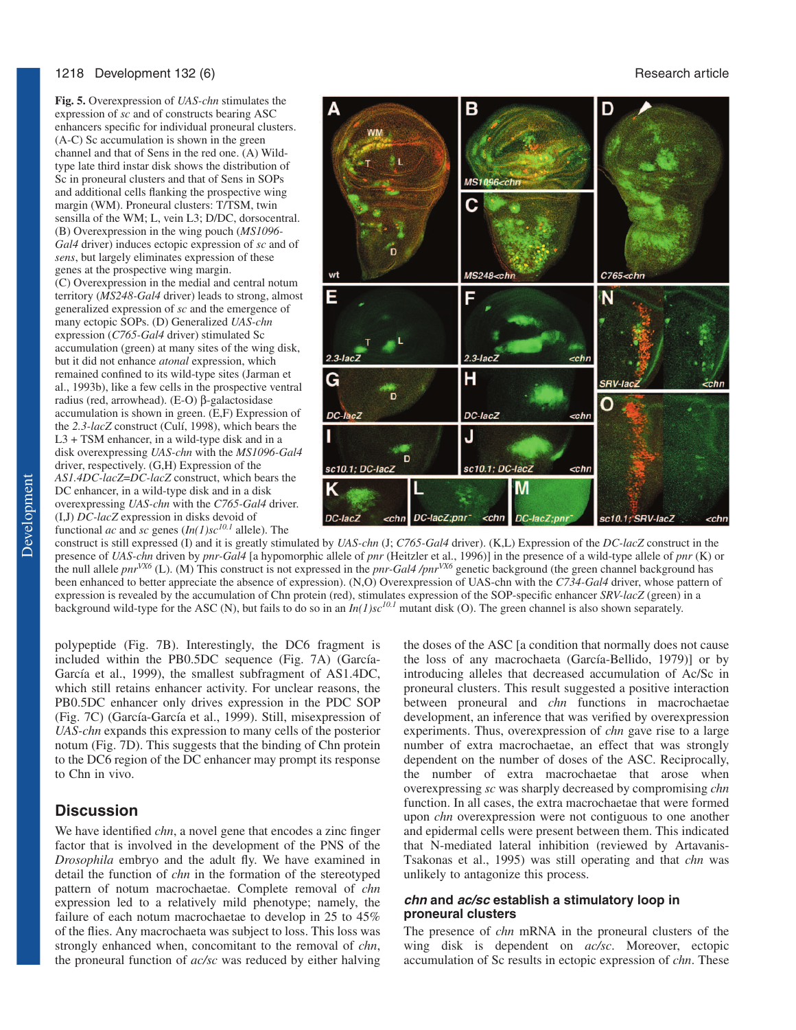#### 1218 Development 132 (6) **Research article Research article Research article Research article**

**Fig. 5.** Overexpression of *UAS-chn* stimulates the expression of *sc* and of constructs bearing ASC enhancers specific for individual proneural clusters. (A-C) Sc accumulation is shown in the green channel and that of Sens in the red one. (A) Wildtype late third instar disk shows the distribution of Sc in proneural clusters and that of Sens in SOPs and additional cells flanking the prospective wing margin (WM). Proneural clusters: T/TSM, twin sensilla of the WM; L, vein L3; D/DC, dorsocentral. (B) Overexpression in the wing pouch (*MS1096- Gal4* driver) induces ectopic expression of *sc* and of *sens*, but largely eliminates expression of these genes at the prospective wing margin. (C) Overexpression in the medial and central notum territory (*MS248-Gal4* driver) leads to strong, almost generalized expression of *sc* and the emergence of many ectopic SOPs. (D) Generalized *UAS-chn* expression (*C765-Gal4* driver) stimulated Sc accumulation (green) at many sites of the wing disk, but it did not enhance *atonal* expression, which remained confined to its wild-type sites (Jarman et al., 1993b), like a few cells in the prospective ventral radius (red, arrowhead). (E-O) β-galactosidase accumulation is shown in green. (E,F) Expression of the *2.3-lacZ* construct (Culí, 1998), which bears the L3 + TSM enhancer, in a wild-type disk and in a disk overexpressing *UAS-chn* with the *MS1096-Gal4* driver, respectively. (G,H) Expression of the *AS1.4DC-lacZ*=*DC-lacZ* construct, which bears the DC enhancer, in a wild-type disk and in a disk overexpressing *UAS-chn* with the *C765-Gal4* driver. (I,J) *DC-lacZ* expression in disks devoid of functional *ac* and *sc* genes  $(In(I) sc^{10.1}$  allele). The



construct is still expressed (I) and it is greatly stimulated by *UAS-chn* (J; *C765-Gal4* driver). (K,L) Expression of the *DC-lacZ* construct in the presence of *UAS-chn* driven by *pnr-Gal4* [a hypomorphic allele of *pnr* (Heitzler et al., 1996)] in the presence of a wild-type allele of *pnr* (K) or the null allele *pnrVX6* (L). (M) This construct is not expressed in the *pnr-Gal4 /pnrVX6* genetic background (the green channel background has been enhanced to better appreciate the absence of expression). (N,O) Overexpression of UAS-chn with the *C734-Gal4* driver, whose pattern of expression is revealed by the accumulation of Chn protein (red), stimulates expression of the SOP-specific enhancer *SRV-lacZ* (green) in a background wild-type for the ASC (N), but fails to do so in an *In(1)sc10.1* mutant disk (O). The green channel is also shown separately.

polypeptide (Fig. 7B). Interestingly, the DC6 fragment is included within the PB0.5DC sequence (Fig. 7A) (García-García et al., 1999), the smallest subfragment of AS1.4DC, which still retains enhancer activity. For unclear reasons, the PB0.5DC enhancer only drives expression in the PDC SOP (Fig. 7C) (García-García et al., 1999). Still, misexpression of *UAS-chn* expands this expression to many cells of the posterior notum (Fig. 7D). This suggests that the binding of Chn protein to the DC6 region of the DC enhancer may prompt its response to Chn in vivo.

# **Discussion**

We have identified *chn*, a novel gene that encodes a zinc finger factor that is involved in the development of the PNS of the *Drosophila* embryo and the adult fly. We have examined in detail the function of *chn* in the formation of the stereotyped pattern of notum macrochaetae. Complete removal of *chn* expression led to a relatively mild phenotype; namely, the failure of each notum macrochaetae to develop in 25 to 45% of the flies. Any macrochaeta was subject to loss. This loss was strongly enhanced when, concomitant to the removal of *chn*, the proneural function of *ac/sc* was reduced by either halving the doses of the ASC [a condition that normally does not cause the loss of any macrochaeta (García-Bellido, 1979)] or by introducing alleles that decreased accumulation of Ac/Sc in proneural clusters. This result suggested a positive interaction between proneural and *chn* functions in macrochaetae development, an inference that was verified by overexpression experiments. Thus, overexpression of *chn* gave rise to a large number of extra macrochaetae, an effect that was strongly dependent on the number of doses of the ASC. Reciprocally, the number of extra macrochaetae that arose when overexpressing *sc* was sharply decreased by compromising *chn* function. In all cases, the extra macrochaetae that were formed upon *chn* overexpression were not contiguous to one another and epidermal cells were present between them. This indicated that N-mediated lateral inhibition (reviewed by Artavanis-Tsakonas et al., 1995) was still operating and that *chn* was unlikely to antagonize this process.

# **chn and ac/sc establish a stimulatory loop in proneural clusters**

The presence of *chn* mRNA in the proneural clusters of the wing disk is dependent on *ac/sc*. Moreover, ectopic accumulation of Sc results in ectopic expression of *chn*. These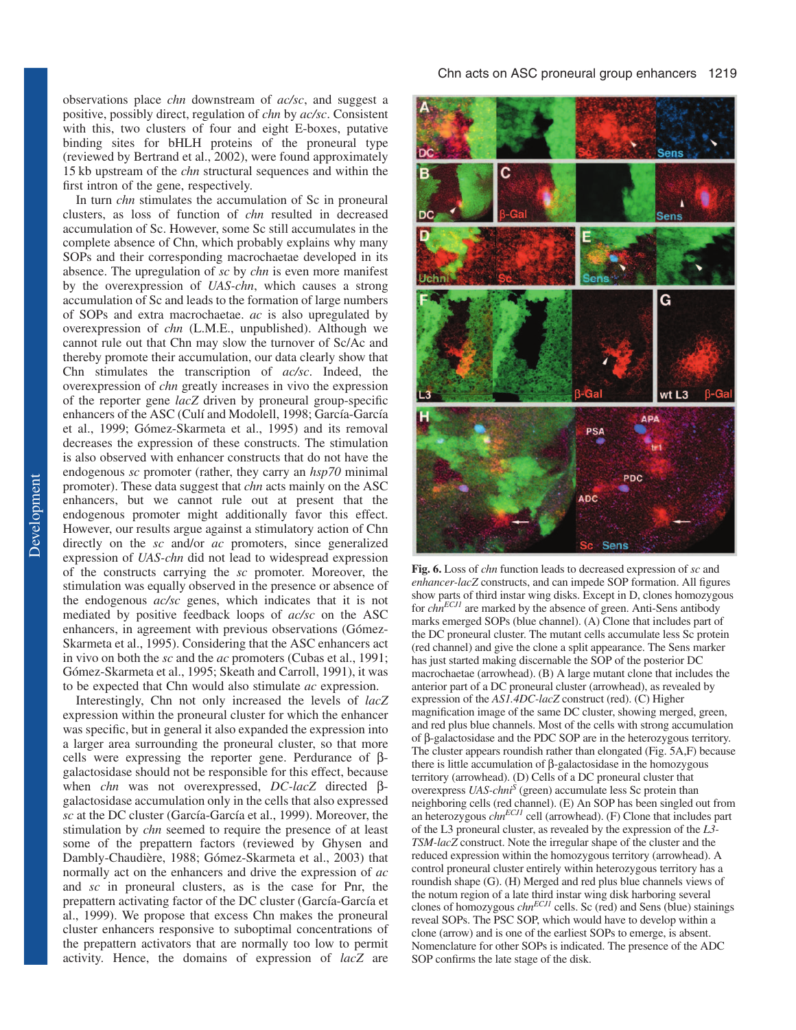observations place *chn* downstream of *ac/sc*, and suggest a positive, possibly direct, regulation of *chn* by *ac/sc*. Consistent with this, two clusters of four and eight E-boxes, putative binding sites for bHLH proteins of the proneural type (reviewed by Bertrand et al., 2002), were found approximately 15 kb upstream of the *chn* structural sequences and within the first intron of the gene, respectively.

In turn *chn* stimulates the accumulation of Sc in proneural clusters, as loss of function of *chn* resulted in decreased accumulation of Sc. However, some Sc still accumulates in the complete absence of Chn, which probably explains why many SOPs and their corresponding macrochaetae developed in its absence. The upregulation of *sc* by *chn* is even more manifest by the overexpression of *UAS-chn*, which causes a strong accumulation of Sc and leads to the formation of large numbers of SOPs and extra macrochaetae. *ac* is also upregulated by overexpression of *chn* (L.M.E., unpublished). Although we cannot rule out that Chn may slow the turnover of Sc/Ac and thereby promote their accumulation, our data clearly show that Chn stimulates the transcription of *ac/sc*. Indeed, the overexpression of *chn* greatly increases in vivo the expression of the reporter gene *lacZ* driven by proneural group-specific enhancers of the ASC (Culí and Modolell, 1998; García-García et al., 1999; Gómez-Skarmeta et al., 1995) and its removal decreases the expression of these constructs. The stimulation is also observed with enhancer constructs that do not have the endogenous *sc* promoter (rather, they carry an *hsp70* minimal promoter). These data suggest that *chn* acts mainly on the ASC enhancers, but we cannot rule out at present that the endogenous promoter might additionally favor this effect. However, our results argue against a stimulatory action of Chn directly on the *sc* and/or *ac* promoters, since generalized expression of *UAS-chn* did not lead to widespread expression of the constructs carrying the *sc* promoter. Moreover, the stimulation was equally observed in the presence or absence of the endogenous *ac/sc* genes, which indicates that it is not mediated by positive feedback loops of *ac/sc* on the ASC enhancers, in agreement with previous observations (Gómez-Skarmeta et al., 1995). Considering that the ASC enhancers act in vivo on both the *sc* and the *ac* promoters (Cubas et al., 1991; Gómez-Skarmeta et al., 1995; Skeath and Carroll, 1991), it was to be expected that Chn would also stimulate *ac* expression.

Interestingly, Chn not only increased the levels of *lacZ* expression within the proneural cluster for which the enhancer was specific, but in general it also expanded the expression into a larger area surrounding the proneural cluster, so that more cells were expressing the reporter gene. Perdurance of βgalactosidase should not be responsible for this effect, because when *chn* was not overexpressed, *DC-lacZ* directed βgalactosidase accumulation only in the cells that also expressed *sc* at the DC cluster (García-García et al., 1999). Moreover, the stimulation by *chn* seemed to require the presence of at least some of the prepattern factors (reviewed by Ghysen and Dambly-Chaudière, 1988; Gómez-Skarmeta et al., 2003) that normally act on the enhancers and drive the expression of *ac* and *sc* in proneural clusters, as is the case for Pnr, the prepattern activating factor of the DC cluster (García-García et al., 1999). We propose that excess Chn makes the proneural cluster enhancers responsive to suboptimal concentrations of the prepattern activators that are normally too low to permit activity. Hence, the domains of expression of *lacZ* are



**Fig. 6.** Loss of *chn* function leads to decreased expression of *sc* and *enhancer-lacZ* constructs, and can impede SOP formation. All figures show parts of third instar wing disks. Except in D, clones homozygous for  $\text{char}^{ECII}$  are marked by the absence of green. Anti-Sens antibody marks emerged SOPs (blue channel). (A) Clone that includes part of the DC proneural cluster. The mutant cells accumulate less Sc protein (red channel) and give the clone a split appearance. The Sens marker has just started making discernable the SOP of the posterior DC macrochaetae (arrowhead). (B) A large mutant clone that includes the anterior part of a DC proneural cluster (arrowhead), as revealed by expression of the *AS1.4DC-lacZ* construct (red). (C) Higher magnification image of the same DC cluster, showing merged, green, and red plus blue channels. Most of the cells with strong accumulation of β-galactosidase and the PDC SOP are in the heterozygous territory. The cluster appears roundish rather than elongated (Fig. 5A,F) because there is little accumulation of β-galactosidase in the homozygous territory (arrowhead). (D) Cells of a DC proneural cluster that overexpress *UAS-chniS* (green) accumulate less Sc protein than neighboring cells (red channel). (E) An SOP has been singled out from an heterozygous *chn<sup>ECJ1</sup>* cell (arrowhead). (F) Clone that includes part of the L3 proneural cluster, as revealed by the expression of the *L3- TSM-lacZ* construct. Note the irregular shape of the cluster and the reduced expression within the homozygous territory (arrowhead). A control proneural cluster entirely within heterozygous territory has a roundish shape (G). (H) Merged and red plus blue channels views of the notum region of a late third instar wing disk harboring several clones of homozygous *chn<sup>ECJ1</sup>* cells. Sc (red) and Sens (blue) stainings reveal SOPs. The PSC SOP, which would have to develop within a clone (arrow) and is one of the earliest SOPs to emerge, is absent. Nomenclature for other SOPs is indicated. The presence of the ADC SOP confirms the late stage of the disk.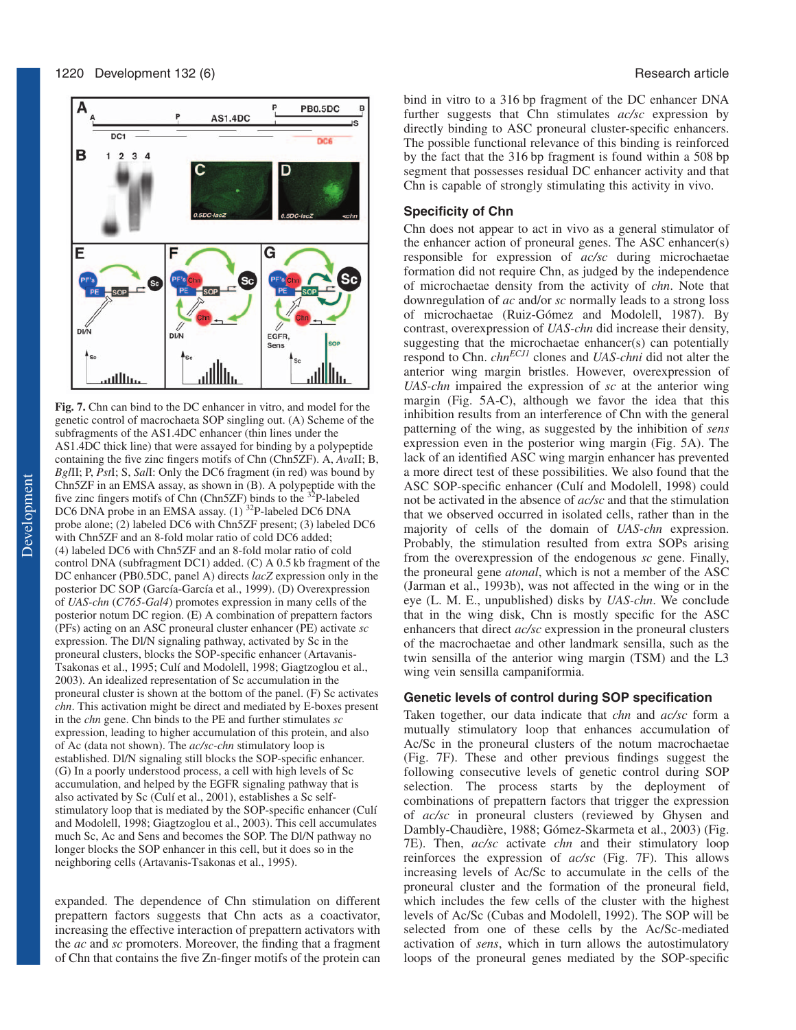

**Fig. 7.** Chn can bind to the DC enhancer in vitro, and model for the genetic control of macrochaeta SOP singling out. (A) Scheme of the subfragments of the AS1.4DC enhancer (thin lines under the AS1.4DC thick line) that were assayed for binding by a polypeptide containing the five zinc fingers motifs of Chn (Chn5ZF). A, *Ava*II; B, *Bgl*II; P, *Pst*I; S, *Sal*I: Only the DC6 fragment (in red) was bound by Chn5ZF in an EMSA assay, as shown in (B). A polypeptide with the five zinc fingers motifs of Chn (Chn5ZF) binds to the 32P-labeled DC6 DNA probe in an EMSA assay. (1) <sup>32</sup>P-labeled DC6 DNA probe alone; (2) labeled DC6 with Chn5ZF present; (3) labeled DC6 with Chn5ZF and an 8-fold molar ratio of cold DC6 added; (4) labeled DC6 with Chn5ZF and an 8-fold molar ratio of cold control DNA (subfragment DC1) added. (C) A 0.5 kb fragment of the DC enhancer (PB0.5DC, panel A) directs *lacZ* expression only in the posterior DC SOP (García-García et al., 1999). (D) Overexpression of *UAS-chn* (*C765-Gal4*) promotes expression in many cells of the posterior notum DC region. (E) A combination of prepattern factors (PFs) acting on an ASC proneural cluster enhancer (PE) activate *sc* expression. The Dl/N signaling pathway, activated by Sc in the proneural clusters, blocks the SOP-specific enhancer (Artavanis-Tsakonas et al., 1995; Culí and Modolell, 1998; Giagtzoglou et al., 2003). An idealized representation of Sc accumulation in the proneural cluster is shown at the bottom of the panel. (F) Sc activates *chn*. This activation might be direct and mediated by E-boxes present in the *chn* gene. Chn binds to the PE and further stimulates *sc* expression, leading to higher accumulation of this protein, and also of Ac (data not shown). The *ac/sc-chn* stimulatory loop is established. Dl/N signaling still blocks the SOP-specific enhancer. (G) In a poorly understood process, a cell with high levels of Sc accumulation, and helped by the EGFR signaling pathway that is also activated by Sc (Culí et al., 2001), establishes a Sc selfstimulatory loop that is mediated by the SOP-specific enhancer (Culí and Modolell, 1998; Giagtzoglou et al., 2003). This cell accumulates much Sc, Ac and Sens and becomes the SOP. The Dl/N pathway no longer blocks the SOP enhancer in this cell, but it does so in the neighboring cells (Artavanis-Tsakonas et al., 1995).

expanded. The dependence of Chn stimulation on different prepattern factors suggests that Chn acts as a coactivator, increasing the effective interaction of prepattern activators with the *ac* and *sc* promoters. Moreover, the finding that a fragment of Chn that contains the five Zn-finger motifs of the protein can bind in vitro to a 316 bp fragment of the DC enhancer DNA further suggests that Chn stimulates *ac/sc* expression by directly binding to ASC proneural cluster-specific enhancers. The possible functional relevance of this binding is reinforced by the fact that the 316 bp fragment is found within a 508 bp segment that possesses residual DC enhancer activity and that Chn is capable of strongly stimulating this activity in vivo.

#### **Specificity of Chn**

Chn does not appear to act in vivo as a general stimulator of the enhancer action of proneural genes. The ASC enhancer(s) responsible for expression of *ac/sc* during microchaetae formation did not require Chn, as judged by the independence of microchaetae density from the activity of *chn*. Note that downregulation of *ac* and/or *sc* normally leads to a strong loss of microchaetae (Ruiz-Gómez and Modolell, 1987). By contrast, overexpression of *UAS-chn* did increase their density, suggesting that the microchaetae enhancer(s) can potentially respond to Chn. *chnECJ1* clones and *UAS-chni* did not alter the anterior wing margin bristles. However, overexpression of *UAS-chn* impaired the expression of *sc* at the anterior wing margin (Fig. 5A-C), although we favor the idea that this inhibition results from an interference of Chn with the general patterning of the wing, as suggested by the inhibition of *sens* expression even in the posterior wing margin (Fig. 5A). The lack of an identified ASC wing margin enhancer has prevented a more direct test of these possibilities. We also found that the ASC SOP-specific enhancer (Culí and Modolell, 1998) could not be activated in the absence of *ac/sc* and that the stimulation that we observed occurred in isolated cells, rather than in the majority of cells of the domain of *UAS-chn* expression. Probably, the stimulation resulted from extra SOPs arising from the overexpression of the endogenous *sc* gene. Finally, the proneural gene *atonal*, which is not a member of the ASC (Jarman et al., 1993b), was not affected in the wing or in the eye (L. M. E., unpublished) disks by *UAS-chn*. We conclude that in the wing disk, Chn is mostly specific for the ASC enhancers that direct *ac/sc* expression in the proneural clusters of the macrochaetae and other landmark sensilla, such as the twin sensilla of the anterior wing margin (TSM) and the L3 wing vein sensilla campaniformia.

### **Genetic levels of control during SOP specification**

Taken together, our data indicate that *chn* and *ac/sc* form a mutually stimulatory loop that enhances accumulation of Ac/Sc in the proneural clusters of the notum macrochaetae (Fig. 7F). These and other previous findings suggest the following consecutive levels of genetic control during SOP selection. The process starts by the deployment of combinations of prepattern factors that trigger the expression of *ac/sc* in proneural clusters (reviewed by Ghysen and Dambly-Chaudière, 1988; Gómez-Skarmeta et al., 2003) (Fig. 7E). Then, *ac/sc* activate *chn* and their stimulatory loop reinforces the expression of *ac/sc* (Fig. 7F). This allows increasing levels of Ac/Sc to accumulate in the cells of the proneural cluster and the formation of the proneural field, which includes the few cells of the cluster with the highest levels of Ac/Sc (Cubas and Modolell, 1992). The SOP will be selected from one of these cells by the Ac/Sc-mediated activation of *sens*, which in turn allows the autostimulatory loops of the proneural genes mediated by the SOP-specific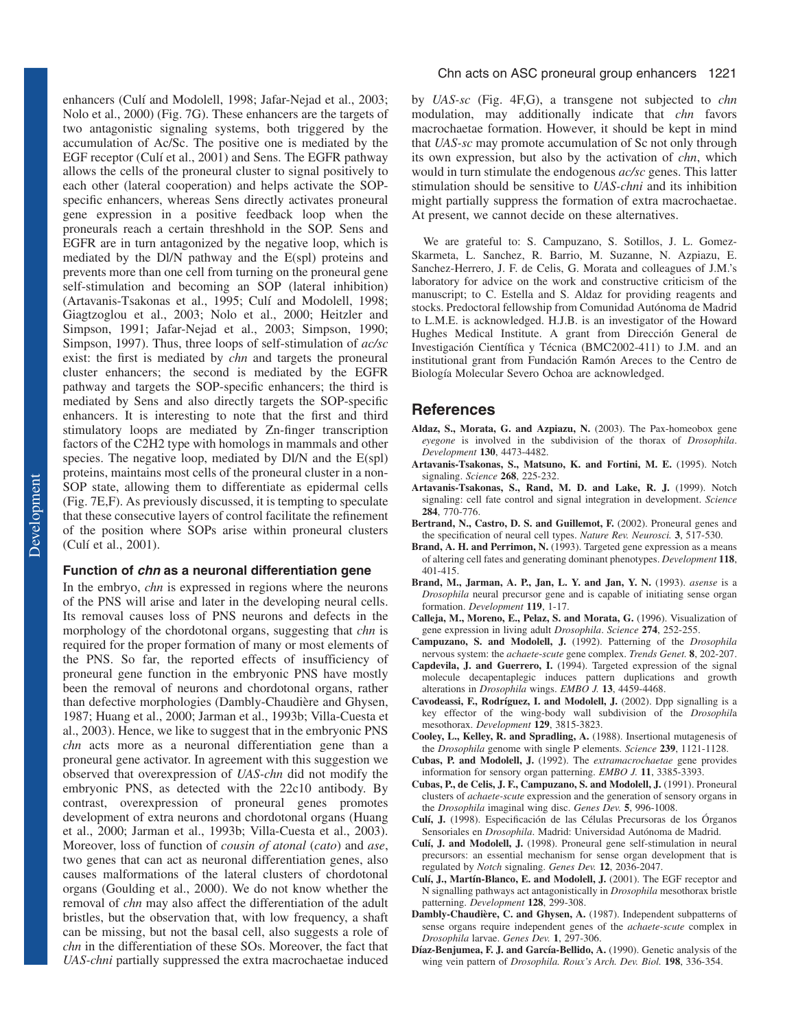enhancers (Culí and Modolell, 1998; Jafar-Nejad et al., 2003; Nolo et al., 2000) (Fig. 7G). These enhancers are the targets of two antagonistic signaling systems, both triggered by the accumulation of Ac/Sc. The positive one is mediated by the EGF receptor (Culí et al., 2001) and Sens. The EGFR pathway allows the cells of the proneural cluster to signal positively to each other (lateral cooperation) and helps activate the SOPspecific enhancers, whereas Sens directly activates proneural gene expression in a positive feedback loop when the proneurals reach a certain threshhold in the SOP. Sens and EGFR are in turn antagonized by the negative loop, which is mediated by the Dl/N pathway and the E(spl) proteins and prevents more than one cell from turning on the proneural gene self-stimulation and becoming an SOP (lateral inhibition) (Artavanis-Tsakonas et al., 1995; Culí and Modolell, 1998; Giagtzoglou et al., 2003; Nolo et al., 2000; Heitzler and Simpson, 1991; Jafar-Nejad et al., 2003; Simpson, 1990; Simpson, 1997). Thus, three loops of self-stimulation of *ac/sc* exist: the first is mediated by *chn* and targets the proneural cluster enhancers; the second is mediated by the EGFR pathway and targets the SOP-specific enhancers; the third is mediated by Sens and also directly targets the SOP-specific enhancers. It is interesting to note that the first and third stimulatory loops are mediated by Zn-finger transcription factors of the C2H2 type with homologs in mammals and other species. The negative loop, mediated by Dl/N and the E(spl) proteins, maintains most cells of the proneural cluster in a non-SOP state, allowing them to differentiate as epidermal cells (Fig. 7E,F). As previously discussed, it is tempting to speculate that these consecutive layers of control facilitate the refinement of the position where SOPs arise within proneural clusters (Culí et al., 2001).

#### **Function of chn as a neuronal differentiation gene**

In the embryo, *chn* is expressed in regions where the neurons of the PNS will arise and later in the developing neural cells. Its removal causes loss of PNS neurons and defects in the morphology of the chordotonal organs, suggesting that *chn* is required for the proper formation of many or most elements of the PNS. So far, the reported effects of insufficiency of proneural gene function in the embryonic PNS have mostly been the removal of neurons and chordotonal organs, rather than defective morphologies (Dambly-Chaudière and Ghysen, 1987; Huang et al., 2000; Jarman et al., 1993b; Villa-Cuesta et al., 2003). Hence, we like to suggest that in the embryonic PNS *chn* acts more as a neuronal differentiation gene than a proneural gene activator. In agreement with this suggestion we observed that overexpression of *UAS-chn* did not modify the embryonic PNS, as detected with the 22c10 antibody. By contrast, overexpression of proneural genes promotes development of extra neurons and chordotonal organs (Huang et al., 2000; Jarman et al., 1993b; Villa-Cuesta et al., 2003). Moreover, loss of function of *cousin of atonal* (*cato*) and *ase*, two genes that can act as neuronal differentiation genes, also causes malformations of the lateral clusters of chordotonal organs (Goulding et al., 2000). We do not know whether the removal of *chn* may also affect the differentiation of the adult bristles, but the observation that, with low frequency, a shaft can be missing, but not the basal cell, also suggests a role of *chn* in the differentiation of these SOs. Moreover, the fact that *UAS-chni* partially suppressed the extra macrochaetae induced by *UAS-sc* (Fig. 4F,G), a transgene not subjected to *chn* modulation, may additionally indicate that *chn* favors macrochaetae formation. However, it should be kept in mind that *UAS-sc* may promote accumulation of Sc not only through its own expression, but also by the activation of *chn*, which would in turn stimulate the endogenous *ac/sc* genes. This latter stimulation should be sensitive to *UAS-chni* and its inhibition might partially suppress the formation of extra macrochaetae. At present, we cannot decide on these alternatives.

We are grateful to: S. Campuzano, S. Sotillos, J. L. Gomez-Skarmeta, L. Sanchez, R. Barrio, M. Suzanne, N. Azpiazu, E. Sanchez-Herrero, J. F. de Celis, G. Morata and colleagues of J.M.'s laboratory for advice on the work and constructive criticism of the manuscript; to C. Estella and S. Aldaz for providing reagents and stocks. Predoctoral fellowship from Comunidad Autónoma de Madrid to L.M.E. is acknowledged. H.J.B. is an investigator of the Howard Hughes Medical Institute. A grant from Dirección General de Investigación Científica y Técnica (BMC2002-411) to J.M. and an institutional grant from Fundación Ramón Areces to the Centro de Biología Molecular Severo Ochoa are acknowledged.

### **References**

- **Aldaz, S., Morata, G. and Azpiazu, N.** (2003). The Pax-homeobox gene *eyegone* is involved in the subdivision of the thorax of *Drosophila*. *Development* **130**, 4473-4482.
- **Artavanis-Tsakonas, S., Matsuno, K. and Fortini, M. E.** (1995). Notch signaling. *Science* **268**, 225-232.
- **Artavanis-Tsakonas, S., Rand, M. D. and Lake, R. J.** (1999). Notch signaling: cell fate control and signal integration in development. *Science* **284**, 770-776.
- Bertrand, N., Castro, D. S. and Guillemot, F. (2002). Proneural genes and the specification of neural cell types. *Nature Rev. Neurosci.* **3**, 517-530.
- Brand, A. H. and Perrimon, N. (1993). Targeted gene expression as a means of altering cell fates and generating dominant phenotypes. *Development* **118**, 401-415.
- **Brand, M., Jarman, A. P., Jan, L. Y. and Jan, Y. N.** (1993). *asense* is a *Drosophila* neural precursor gene and is capable of initiating sense organ formation. *Development* **119**, 1-17.
- **Calleja, M., Moreno, E., Pelaz, S. and Morata, G.** (1996). Visualization of gene expression in living adult *Drosophila*. *Science* **274**, 252-255.
- **Campuzano, S. and Modolell, J.** (1992). Patterning of the *Drosophila* nervous system: the *achaete*-*scute* gene complex. *Trends Genet.* **8**, 202-207.
- **Capdevila, J. and Guerrero, I.** (1994). Targeted expression of the signal molecule decapentaplegic induces pattern duplications and growth alterations in *Drosophila* wings. *EMBO J.* **13**, 4459-4468.
- **Cavodeassi, F., Rodríguez, I. and Modolell, J.** (2002). Dpp signalling is a key effector of the wing-body wall subdivision of the *Drosophil*a mesothorax. *Development* **129**, 3815-3823.
- **Cooley, L., Kelley, R. and Spradling, A.** (1988). Insertional mutagenesis of the *Drosophila* genome with single P elements. *Science* **239**, 1121-1128.
- **Cubas, P. and Modolell, J.** (1992). The *extramacrochaetae* gene provides information for sensory organ patterning. *EMBO J.* **11**, 3385-3393.
- **Cubas, P., de Celis, J. F., Campuzano, S. and Modolell, J.** (1991). Proneural clusters of *achaete-scute* expression and the generation of sensory organs in the *Drosophila* imaginal wing disc. *Genes Dev.* **5**, 996-1008.
- **Culí, J.** (1998). Especificación de las Células Precursoras de los Órganos Sensoriales en *Drosophila*. Madrid: Universidad Autónoma de Madrid.
- **Culí, J. and Modolell, J.** (1998). Proneural gene self-stimulation in neural precursors: an essential mechanism for sense organ development that is regulated by *Notch* signaling. *Genes Dev.* **12**, 2036-2047.
- **Culí, J., Martín-Blanco, E. and Modolell, J.** (2001). The EGF receptor and N signalling pathways act antagonistically in *Drosophila* mesothorax bristle patterning. *Development* **128**, 299-308.
- Dambly-Chaudière, C. and Ghysen, A. (1987). Independent subpatterns of sense organs require independent genes of the *achaete-scute* complex in *Drosophila* larvae. *Genes Dev.* **1**, 297-306.
- **Díaz-Benjumea, F. J. and García-Bellido, A.** (1990). Genetic analysis of the wing vein pattern of *Drosophila. Roux's Arch. Dev. Biol.* **198**, 336-354.